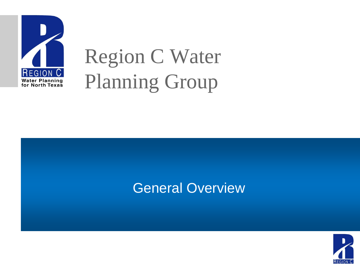

# Region C Water Planning Group

#### **General Overview**

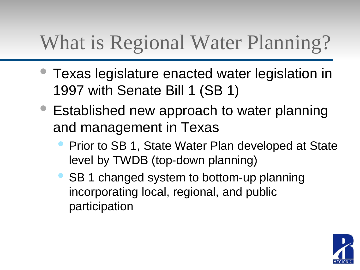## What is Regional Water Planning?

- Texas legislature enacted water legislation in 1997 with Senate Bill 1 (SB 1)
- Established new approach to water planning and management in Texas
	- Prior to SB 1, State Water Plan developed at State level by TWDB (top-down planning)
	- SB 1 changed system to bottom-up planning incorporating local, regional, and public participation

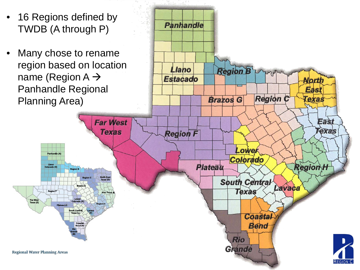- 16 Regions defined by TWDB (A through P)
- Many chose to rename region based on location name (Region  $A \rightarrow$ Panhandle Regional Planning Area)

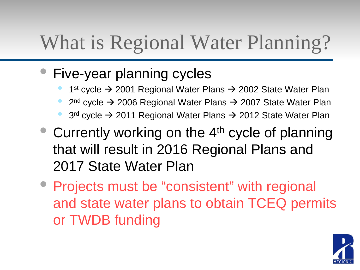## What is Regional Water Planning?

- Five-year planning cycles
	- 1st cycle  $\rightarrow$  2001 Regional Water Plans  $\rightarrow$  2002 State Water Plan
	- $2<sup>nd</sup>$  cycle  $\rightarrow$  2006 Regional Water Plans  $\rightarrow$  2007 State Water Plan
	- $3<sup>rd</sup>$  cycle  $\rightarrow$  2011 Regional Water Plans  $\rightarrow$  2012 State Water Plan
- Currently working on the  $4<sup>th</sup>$  cycle of planning that will result in 2016 Regional Plans and 2017 State Water Plan
- Projects must be "consistent" with regional and state water plans to obtain TCEQ permits or TWDB funding

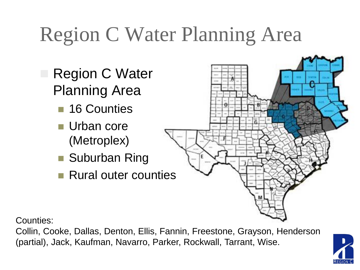# Region C Water Planning Area

- Region C Water Planning Area
	- 16 Counties
	- **Urban core** (Metroplex)
	- Suburban Ring
	- **Rural outer counties**



Counties:

Collin, Cooke, Dallas, Denton, Ellis, Fannin, Freestone, Grayson, Henderson (partial), Jack, Kaufman, Navarro, Parker, Rockwall, Tarrant, Wise.

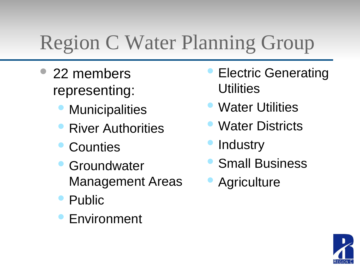# Region C Water Planning Group

- 22 members representing:
	- **Municipalities**
	- River Authorities
	- **Counties**
	- **Groundwater** Management Areas
	- Public
	- **Environment**
- Electric Generating **Utilities**
- Water Utilities
- **Water Districts**
- **Industry**
- Small Business
- **Agriculture**

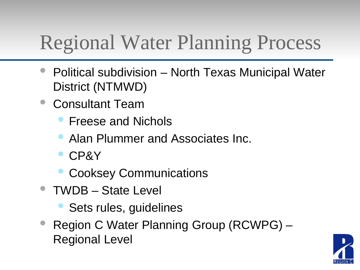### Regional Water Planning Process

- Political subdivision North Texas Municipal Water District (NTMWD)
- Consultant Team
	- Freese and Nichols
	- Alan Plummer and Associates Inc.
	- CP&Y
	- **Cooksey Communications**
- TWDB State Level
	- Sets rules, guidelines
- Region C Water Planning Group (RCWPG) Regional Level

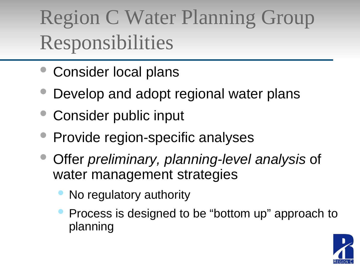# Region C Water Planning Group Responsibilities

- Consider local plans
- Develop and adopt regional water plans
- Consider public input
- Provide region-specific analyses
- Offer *preliminary, planning-level analysis* of water management strategies
	- No regulatory authority
	- Process is designed to be "bottom up" approach to planning

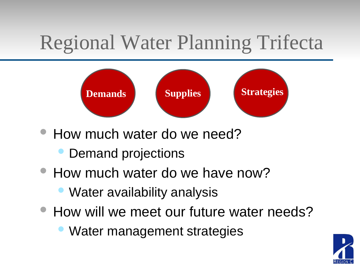## Regional Water Planning Trifecta



- How much water do we need?
	- Demand projections
- How much water do we have now?
	- Water availability analysis
- How will we meet our future water needs?
	- Water management strategies

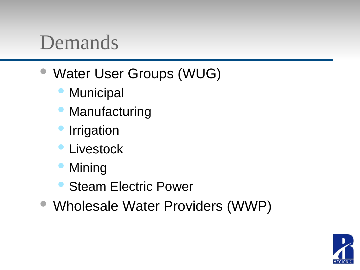#### Demands

- Water User Groups (WUG)
	- **Municipal**
	- **Manufacturing**
	- **Irrigation**
	- **Livestock**
	- **Mining**
	- **Steam Electric Power**
- Wholesale Water Providers (WWP)

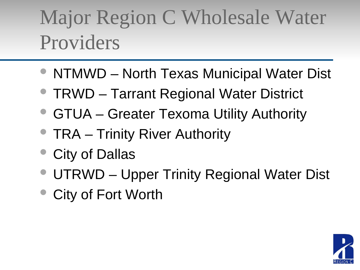## Major Region C Wholesale Water Providers

- NTMWD North Texas Municipal Water Dist
- TRWD Tarrant Regional Water District
- GTUA Greater Texoma Utility Authority
- TRA Trinity River Authority
- City of Dallas
- UTRWD Upper Trinity Regional Water Dist
- City of Fort Worth

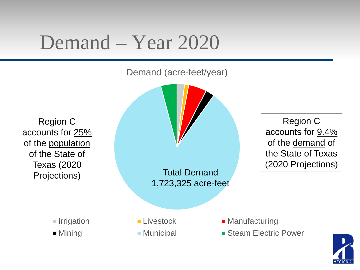#### Demand – Year 2020

Demand (acre-feet/year)

Region C accounts for 25% of the population of the State of Texas (2020 Projections)

Total Demand 1,723,325 acre-feet

Region C accounts for 9.4% of the demand of the State of Texas (2020 Projections)

- 
- 
- 
- 
- Irrigation **Livestock** Manufacturing
- Mining Municipal Steam Electric Power

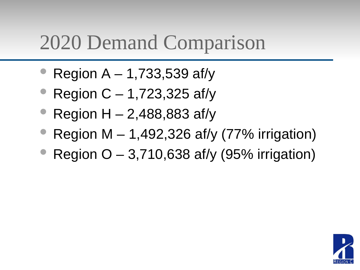#### 2020 Demand Comparison

- Region  $A 1,733,539$  af/y
- Region  $C 1,723,325$  af/y
- Region  $H 2,488,883$  af/y
- Region M  $-$  1,492,326 af/y (77% irrigation)
- Region  $O 3,710,638$  af/y (95% irrigation)

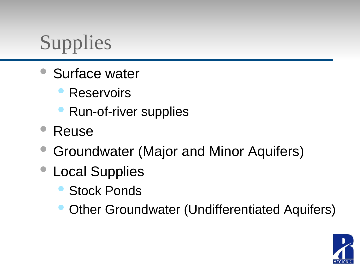## **Supplies**

- Surface water
	- **Reservoirs**
	- Run-of-river supplies
- Reuse
- Groundwater (Major and Minor Aquifers)
- Local Supplies
	- **Stock Ponds**
	- Other Groundwater (Undifferentiated Aquifers)

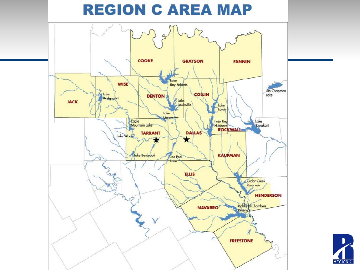



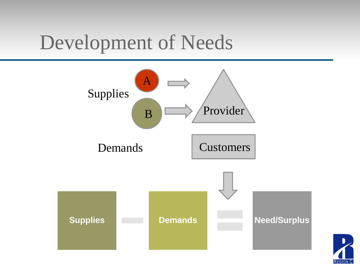#### Development of Needs



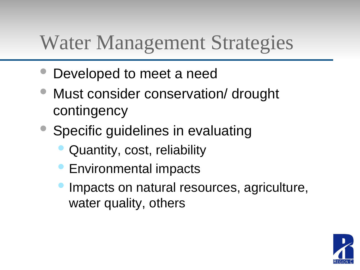#### Water Management Strategies

- Developed to meet a need
- Must consider conservation/ drought contingency
- Specific guidelines in evaluating
	- Quantity, cost, reliability
	- Environmental impacts
	- Impacts on natural resources, agriculture, water quality, others

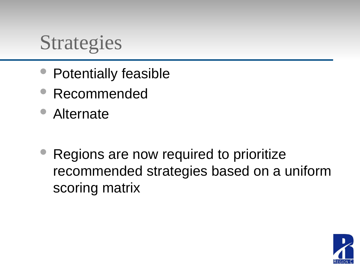#### Strategies

- Potentially feasible
- Recommended
- Alternate
- Regions are now required to prioritize recommended strategies based on a uniform scoring matrix

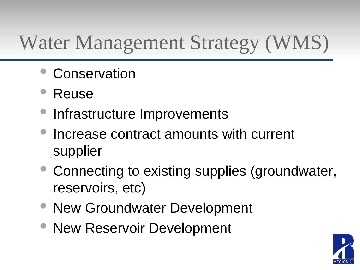## Water Management Strategy (WMS)

- **Conservation**
- Reuse
- Infrastructure Improvements
- Increase contract amounts with current supplier
- Connecting to existing supplies (groundwater, reservoirs, etc)
- New Groundwater Development
- **New Reservoir Development**

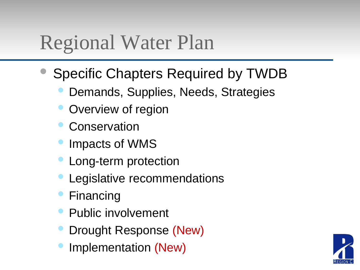#### Regional Water Plan

- Specific Chapters Required by TWDB
	- Demands, Supplies, Needs, Strategies
	- Overview of region
	- **Conservation**
	- Impacts of WMS
	- Long-term protection
	- Legislative recommendations
	- **Financing**
	- Public involvement
	- Drought Response (New)
	- Implementation (New)